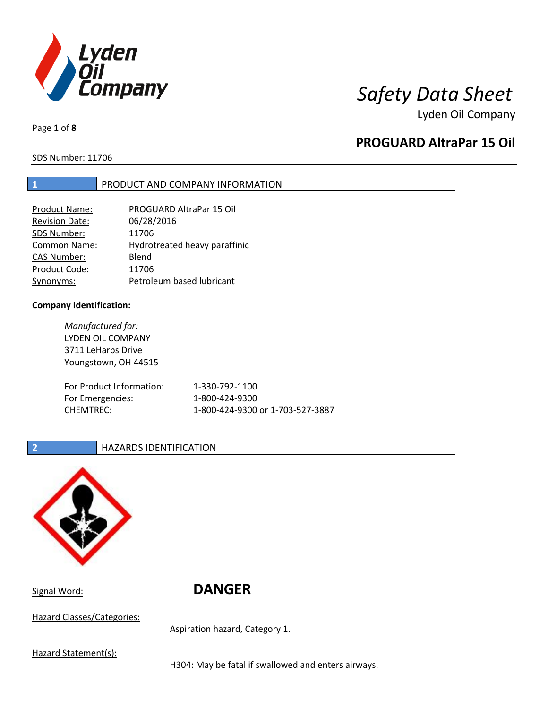

Page **1** of **8**

# **PROGUARD AltraPar 15 Oil**

SDS Number: 11706

# **1** PRODUCT AND COMPANY INFORMATION

| Product Name:         | PROGUARD AltraPar 15 Oil      |
|-----------------------|-------------------------------|
| <b>Revision Date:</b> | 06/28/2016                    |
| SDS Number:           | 11706                         |
| <b>Common Name:</b>   | Hydrotreated heavy paraffinic |
| <b>CAS Number:</b>    | Blend                         |
| Product Code:         | 11706                         |
| Synonyms:             | Petroleum based lubricant     |

### **Company Identification:**

*Manufactured for:* LYDEN OIL COMPANY 3711 LeHarps Drive Youngstown, OH 44515 For Product Information: 1-330-792-1100 For Emergencies: 1-800-424-9300 CHEMTREC: 1-800-424-9300 or 1-703-527-3887

# **2 HAZARDS IDENTIFICATION**



Signal Word: **DANGER**

Hazard Classes/Categories:

Aspiration hazard, Category 1.

Hazard Statement(s):

H304: May be fatal if swallowed and enters airways.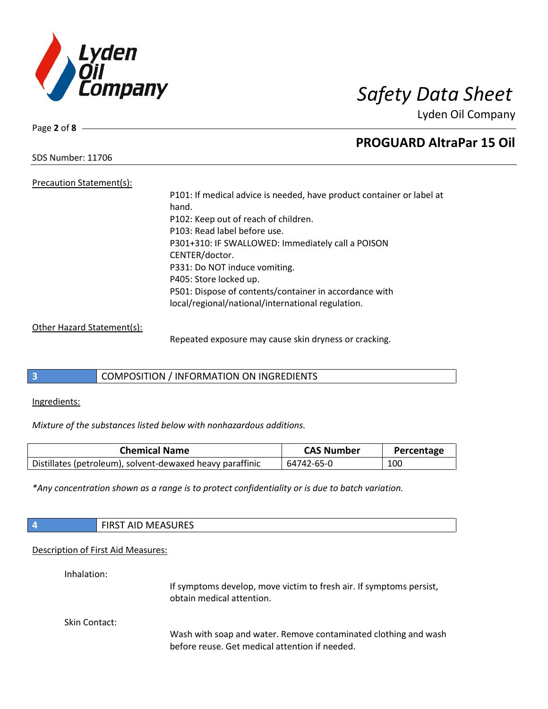

Page **2** of **8**

# **PROGUARD AltraPar 15 Oil**

SDS Number: 11706

Precaution Statement(s): P101: If medical advice is needed, have product container or label at hand. P102: Keep out of reach of children. P103: Read label before use. P301+310: IF SWALLOWED: Immediately call a POISON CENTER/doctor. P331: Do NOT induce vomiting. P405: Store locked up. P501: Dispose of contents/container in accordance with local/regional/national/international regulation.

### Other Hazard Statement(s):

Repeated exposure may cause skin dryness or cracking.

# **3** COMPOSITION / INFORMATION ON INGREDIENTS

Ingredients:

*Mixture of the substances listed below with nonhazardous additions.*

| <b>Chemical Name</b>                                      | <b>CAS Number</b> | Percentage |
|-----------------------------------------------------------|-------------------|------------|
| Distillates (petroleum), solvent-dewaxed heavy paraffinic | 64742-65-0        | 100        |

*\*Any concentration shown as a range is to protect confidentiality or is due to batch variation.*

| 4             | <b>FIRST AID MEASURES</b>                                                                                         |
|---------------|-------------------------------------------------------------------------------------------------------------------|
|               | Description of First Aid Measures:                                                                                |
| Inhalation:   | If symptoms develop, move victim to fresh air. If symptoms persist,<br>obtain medical attention.                  |
| Skin Contact: | Wash with soap and water. Remove contaminated clothing and wash<br>before reuse. Get medical attention if needed. |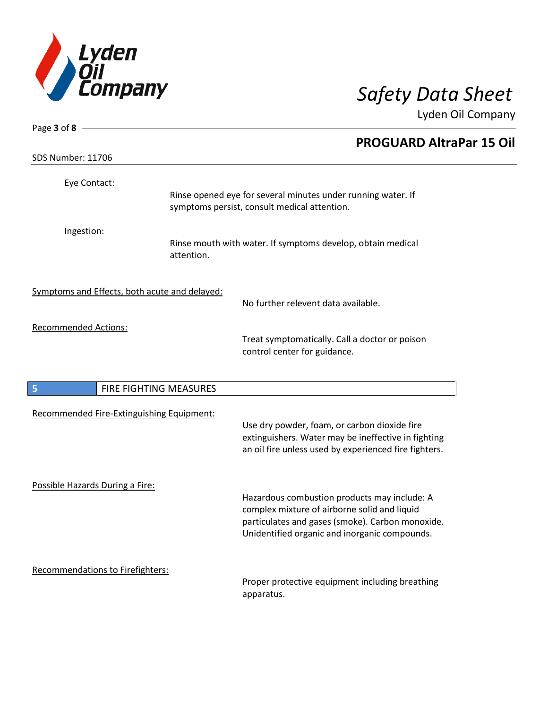

| Page 3 of 8 $-$                               |            |                                                                                                                                                                                                   |
|-----------------------------------------------|------------|---------------------------------------------------------------------------------------------------------------------------------------------------------------------------------------------------|
|                                               |            | <b>PROGUARD AltraPar 15 Oil</b>                                                                                                                                                                   |
| <b>SDS Number: 11706</b>                      |            |                                                                                                                                                                                                   |
| Eye Contact:                                  |            | Rinse opened eye for several minutes under running water. If<br>symptoms persist, consult medical attention.                                                                                      |
| Ingestion:                                    | attention. | Rinse mouth with water. If symptoms develop, obtain medical                                                                                                                                       |
| Symptoms and Effects, both acute and delayed: |            | No further relevent data available.                                                                                                                                                               |
| <b>Recommended Actions:</b>                   |            | Treat symptomatically. Call a doctor or poison<br>control center for guidance.                                                                                                                    |
| 5<br>FIRE FIGHTING MEASURES                   |            |                                                                                                                                                                                                   |
| Recommended Fire-Extinguishing Equipment:     |            | Use dry powder, foam, or carbon dioxide fire<br>extinguishers. Water may be ineffective in fighting<br>an oil fire unless used by experienced fire fighters.                                      |
| Possible Hazards During a Fire:               |            | Hazardous combustion products may include: A<br>complex mixture of airborne solid and liquid<br>particulates and gases (smoke). Carbon monoxide.<br>Unidentified organic and inorganic compounds. |
| Recommendations to Firefighters:              |            | Proper protective equipment including breathing<br>apparatus.                                                                                                                                     |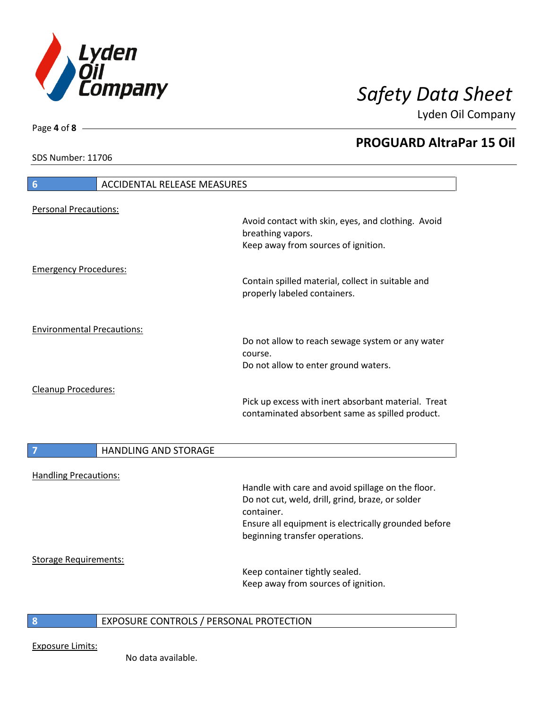

**PROGUARD AltraPar 15 Oil**

Lyden Oil Company

SDS Number: 11706

Page **4** of **8**

# **6** ACCIDENTAL RELEASE MEASURES Personal Precautions: Avoid contact with skin, eyes, and clothing. Avoid breathing vapors. Keep away from sources of ignition. Emergency Procedures: Contain spilled material, collect in suitable and properly labeled containers. Environmental Precautions: Do not allow to reach sewage system or any water course. Do not allow to enter ground waters. Cleanup Procedures: Pick up excess with inert absorbant material. Treat contaminated absorbent same as spilled product. **7 HANDLING AND STORAGE** Handling Precautions: Handle with care and avoid spillage on the floor. Do not cut, weld, drill, grind, braze, or solder container. Ensure all equipment is electrically grounded before beginning transfer operations. Storage Requirements: Keep container tightly sealed. Keep away from sources of ignition.

# **8** EXPOSURE CONTROLS / PERSONAL PROTECTION

Exposure Limits:

No data available.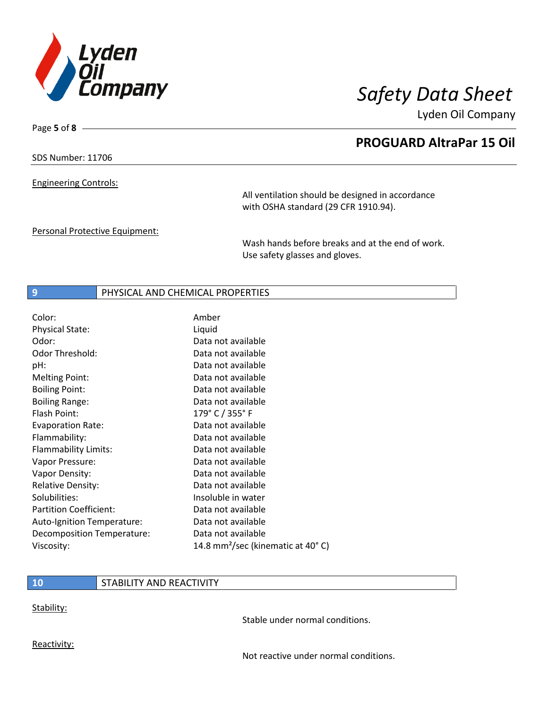

Page **5** of **8**

# **PROGUARD AltraPar 15 Oil**

Lyden Oil Company

SDS Number: 11706

Engineering Controls:

All ventilation should be designed in accordance with OSHA standard (29 CFR 1910.94).

Personal Protective Equipment:

Wash hands before breaks and at the end of work. Use safety glasses and gloves.

# **9** PHYSICAL AND CHEMICAL PROPERTIES

| Color:                        | Amber                                         |
|-------------------------------|-----------------------------------------------|
| <b>Physical State:</b>        | Liquid                                        |
| Odor:                         | Data not available                            |
| <b>Odor Threshold:</b>        | Data not available                            |
| pH:                           | Data not available                            |
| <b>Melting Point:</b>         | Data not available                            |
| <b>Boiling Point:</b>         | Data not available                            |
| <b>Boiling Range:</b>         | Data not available                            |
| Flash Point:                  | 179° C / 355° F                               |
| <b>Evaporation Rate:</b>      | Data not available                            |
| Flammability:                 | Data not available                            |
| Flammability Limits:          | Data not available                            |
| Vapor Pressure:               | Data not available                            |
| Vapor Density:                | Data not available                            |
| <b>Relative Density:</b>      | Data not available                            |
| Solubilities:                 | Insoluble in water                            |
| <b>Partition Coefficient:</b> | Data not available                            |
| Auto-Ignition Temperature:    | Data not available                            |
| Decomposition Temperature:    | Data not available                            |
| Viscosity:                    | 14.8 mm <sup>2</sup> /sec (kinematic at 40°C) |

### **10** STABILITY AND REACTIVITY

Stability:

Stable under normal conditions.

Reactivity:

Not reactive under normal conditions.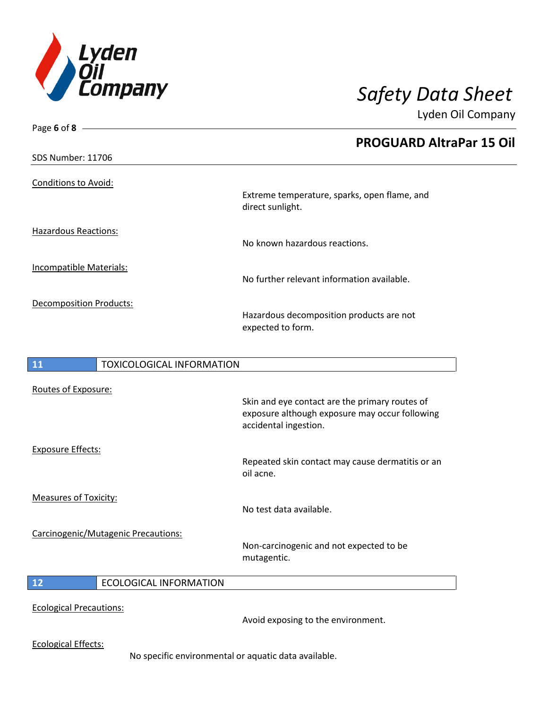

| Page 6 of 8                            |                                                                                                                           |
|----------------------------------------|---------------------------------------------------------------------------------------------------------------------------|
|                                        | <b>PROGUARD AltraPar 15 Oil</b>                                                                                           |
| <b>SDS Number: 11706</b>               |                                                                                                                           |
| Conditions to Avoid:                   | Extreme temperature, sparks, open flame, and<br>direct sunlight.                                                          |
| <b>Hazardous Reactions:</b>            | No known hazardous reactions.                                                                                             |
| Incompatible Materials:                | No further relevant information available.                                                                                |
| <b>Decomposition Products:</b>         | Hazardous decomposition products are not<br>expected to form.                                                             |
| <b>TOXICOLOGICAL INFORMATION</b><br>11 |                                                                                                                           |
| Routes of Exposure:                    | Skin and eye contact are the primary routes of<br>exposure although exposure may occur following<br>accidental ingestion. |
| <b>Exposure Effects:</b>               | Repeated skin contact may cause dermatitis or an<br>oil acne.                                                             |
| <b>Measures of Toxicity:</b>           | No test data available.                                                                                                   |
| Carcinogenic/Mutagenic Precautions:    | Non-carcinogenic and not expected to be<br>mutagentic.                                                                    |

# **12** ECOLOGICAL INFORMATION

Ecological Precautions:

Avoid exposing to the environment.

Ecological Effects:

No specific environmental or aquatic data available.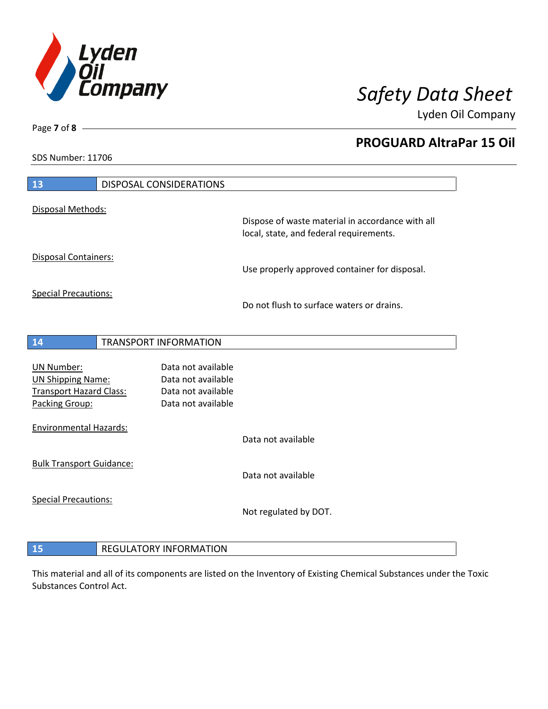

**PROGUARD AltraPar 15 Oil**

Lyden Oil Company

SDS Number: 11706

| 13                                               | <b>DISPOSAL CONSIDERATIONS</b>           |                                                                                             |
|--------------------------------------------------|------------------------------------------|---------------------------------------------------------------------------------------------|
| Disposal Methods:                                |                                          |                                                                                             |
|                                                  |                                          | Dispose of waste material in accordance with all<br>local, state, and federal requirements. |
| Disposal Containers:                             |                                          | Use properly approved container for disposal.                                               |
| <b>Special Precautions:</b>                      |                                          | Do not flush to surface waters or drains.                                                   |
| 14                                               | <b>TRANSPORT INFORMATION</b>             |                                                                                             |
|                                                  | Data not available                       |                                                                                             |
| <b>UN Number:</b><br><b>UN Shipping Name:</b>    | Data not available                       |                                                                                             |
| <b>Transport Hazard Class:</b><br>Packing Group: | Data not available<br>Data not available |                                                                                             |
| <b>Environmental Hazards:</b>                    |                                          |                                                                                             |
|                                                  |                                          | Data not available                                                                          |
| <b>Bulk Transport Guidance:</b>                  |                                          |                                                                                             |
|                                                  |                                          | Data not available                                                                          |
| <b>Special Precautions:</b>                      |                                          | Not regulated by DOT.                                                                       |
|                                                  |                                          |                                                                                             |
| 15                                               | <b>REGULATORY INFORMATION</b>            |                                                                                             |

This material and all of its components are listed on the Inventory of Existing Chemical Substances under the Toxic Substances Control Act.